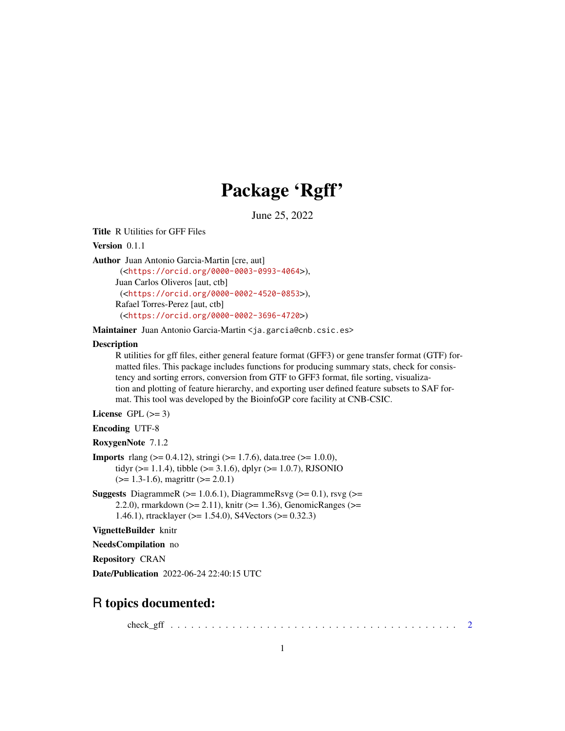## Package 'Rgff'

June 25, 2022

Title R Utilities for GFF Files

Version 0.1.1

Author Juan Antonio Garcia-Martin [cre, aut]

(<<https://orcid.org/0000-0003-0993-4064>>), Juan Carlos Oliveros [aut, ctb] (<<https://orcid.org/0000-0002-4520-0853>>), Rafael Torres-Perez [aut, ctb] (<<https://orcid.org/0000-0002-3696-4720>>)

Maintainer Juan Antonio Garcia-Martin <ja.garcia@cnb.csic.es>

#### **Description**

R utilities for gff files, either general feature format (GFF3) or gene transfer format (GTF) formatted files. This package includes functions for producing summary stats, check for consistency and sorting errors, conversion from GTF to GFF3 format, file sorting, visualization and plotting of feature hierarchy, and exporting user defined feature subsets to SAF format. This tool was developed by the BioinfoGP core facility at CNB-CSIC.

License GPL  $(>= 3)$ 

Encoding UTF-8

RoxygenNote 7.1.2

```
Imports rlang (> = 0.4.12), stringi (> = 1.7.6), data.tree (> = 1.0.0),
      tidyr (>= 1.1.4), tibble (>= 3.1.6), dplyr (>= 1.0.7), RJSONIO
      (>= 1.3-1.6), magrittr (>= 2.0.1)
```
**Suggests** DiagrammeR ( $>= 1.0.6.1$ ), DiagrammeRsvg ( $>= 0.1$ ), rsvg ( $>=$ 2.2.0), rmarkdown (>= 2.11), knitr (>= 1.36), GenomicRanges (>= 1.46.1), rtracklayer (>= 1.54.0), S4Vectors (>= 0.32.3)

VignetteBuilder knitr

NeedsCompilation no

Repository CRAN

Date/Publication 2022-06-24 22:40:15 UTC

### R topics documented:

check\_gff . . . . . . . . . . . . . . . . . . . . . . . . . . . . . . . . . . . . . . . . . . [2](#page-1-0)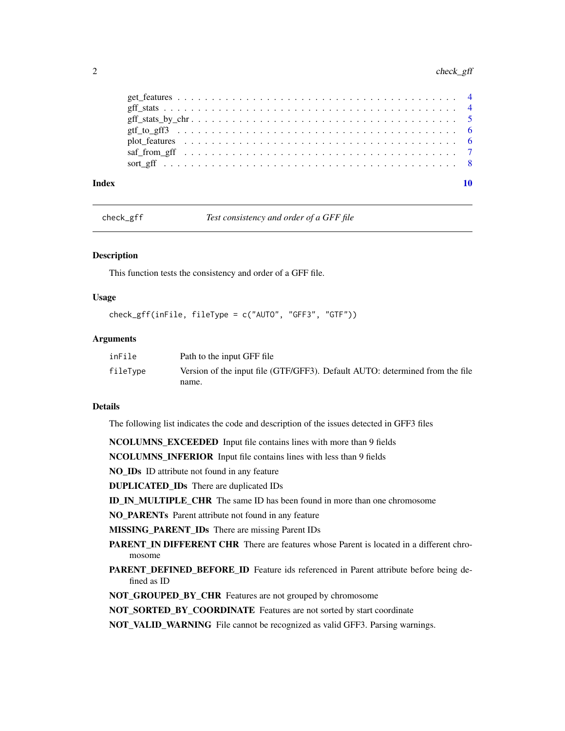#### <span id="page-1-0"></span>2 check\_gff check\_gff check\_gff check\_gff check\_gff check\_gff check\_gff check\_gff check\_gff check\_gff check\_gff check\_gff check\_gff check\_gff check\_gff check\_gff check\_gff check\_gff check\_gff check\_gff check\_gff check\_gff

| Index |  |
|-------|--|
|       |  |
|       |  |
|       |  |
|       |  |
|       |  |
|       |  |
|       |  |

check\_gff *Test consistency and order of a GFF file*

#### Description

This function tests the consistency and order of a GFF file.

#### Usage

```
check_gff(inFile, fileType = c("AUTO", "GFF3", "GTF"))
```
#### Arguments

| inFile   | Path to the input GFF file                                                   |
|----------|------------------------------------------------------------------------------|
| fileType | Version of the input file (GTF/GFF3). Default AUTO: determined from the file |
|          | name.                                                                        |

#### Details

The following list indicates the code and description of the issues detected in GFF3 files

NCOLUMNS\_EXCEEDED Input file contains lines with more than 9 fields

NCOLUMNS\_INFERIOR Input file contains lines with less than 9 fields

NO\_IDs ID attribute not found in any feature

DUPLICATED\_IDs There are duplicated IDs

ID\_IN\_MULTIPLE\_CHR The same ID has been found in more than one chromosome

NO\_PARENTs Parent attribute not found in any feature

MISSING\_PARENT\_IDs There are missing Parent IDs

- PARENT\_IN DIFFERENT CHR There are features whose Parent is located in a different chromosome
- PARENT\_DEFINED\_BEFORE\_ID Feature ids referenced in Parent attribute before being defined as ID
- NOT\_GROUPED\_BY\_CHR Features are not grouped by chromosome

NOT\_SORTED\_BY\_COORDINATE Features are not sorted by start coordinate

NOT\_VALID\_WARNING File cannot be recognized as valid GFF3. Parsing warnings.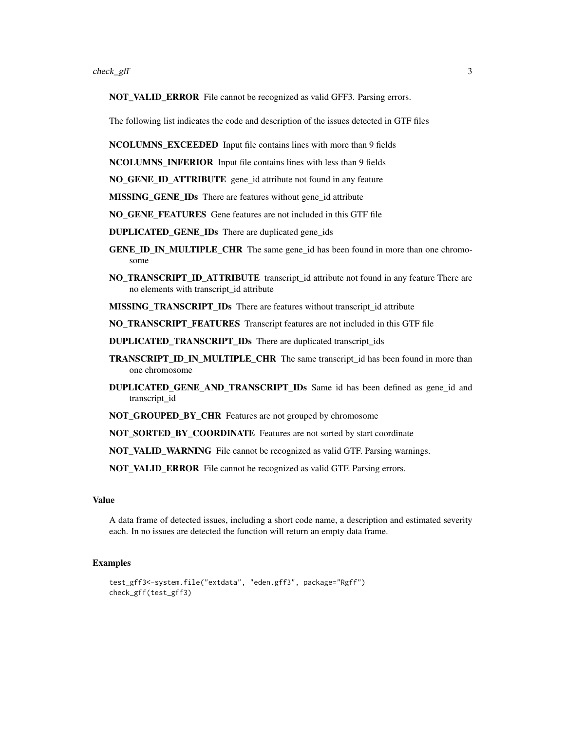NOT\_VALID\_ERROR File cannot be recognized as valid GFF3. Parsing errors.

The following list indicates the code and description of the issues detected in GTF files

NCOLUMNS\_EXCEEDED Input file contains lines with more than 9 fields

NCOLUMNS\_INFERIOR Input file contains lines with less than 9 fields

NO\_GENE\_ID\_ATTRIBUTE gene\_id attribute not found in any feature

MISSING\_GENE\_IDs There are features without gene\_id attribute

NO\_GENE\_FEATURES Gene features are not included in this GTF file

DUPLICATED\_GENE\_IDs There are duplicated gene\_ids

- **GENE\_ID\_IN\_MULTIPLE\_CHR\_The same gene\_id has been found in more than one chromo**some
- NO\_TRANSCRIPT\_ID\_ATTRIBUTE transcript\_id attribute not found in any feature There are no elements with transcript\_id attribute
- MISSING TRANSCRIPT IDs There are features without transcript id attribute

NO\_TRANSCRIPT\_FEATURES Transcript features are not included in this GTF file

- DUPLICATED\_TRANSCRIPT\_IDs There are duplicated transcript\_ids
- TRANSCRIPT\_ID\_IN\_MULTIPLE\_CHR The same transcript\_id has been found in more than one chromosome
- DUPLICATED\_GENE\_AND\_TRANSCRIPT\_IDs Same id has been defined as gene\_id and transcript\_id
- NOT\_GROUPED\_BY\_CHR Features are not grouped by chromosome
- NOT\_SORTED\_BY\_COORDINATE Features are not sorted by start coordinate

NOT\_VALID\_WARNING File cannot be recognized as valid GTF. Parsing warnings.

NOT\_VALID\_ERROR File cannot be recognized as valid GTF. Parsing errors.

#### Value

A data frame of detected issues, including a short code name, a description and estimated severity each. In no issues are detected the function will return an empty data frame.

#### **Examples**

```
test_gff3<-system.file("extdata", "eden.gff3", package="Rgff")
check_gff(test_gff3)
```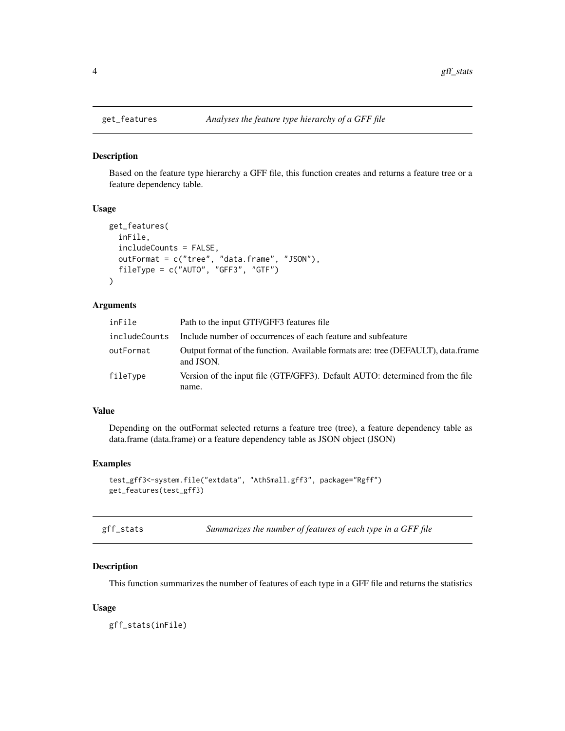<span id="page-3-0"></span>

#### Description

Based on the feature type hierarchy a GFF file, this function creates and returns a feature tree or a feature dependency table.

#### Usage

```
get_features(
  inFile,
  includeCounts = FALSE,
 outFormat = c("tree", "data.frame", "JSON"),
  fileType = c("AUTO", "GFF3", "GTF")
)
```
#### Arguments

| inFile        | Path to the input GTF/GFF3 features file                                                      |
|---------------|-----------------------------------------------------------------------------------------------|
| includeCounts | Include number of occurrences of each feature and subfeature                                  |
| outFormat     | Output format of the function. Available formats are: tree (DEFAULT), data.frame<br>and JSON. |
| fileType      | Version of the input file (GTF/GFF3). Default AUTO: determined from the file<br>name.         |

#### Value

Depending on the outFormat selected returns a feature tree (tree), a feature dependency table as data.frame (data.frame) or a feature dependency table as JSON object (JSON)

#### Examples

```
test_gff3<-system.file("extdata", "AthSmall.gff3", package="Rgff")
get_features(test_gff3)
```

| gff_stats | Summarizes the number of features of each type in a GFF file |  |
|-----------|--------------------------------------------------------------|--|
|-----------|--------------------------------------------------------------|--|

#### Description

This function summarizes the number of features of each type in a GFF file and returns the statistics

#### Usage

gff\_stats(inFile)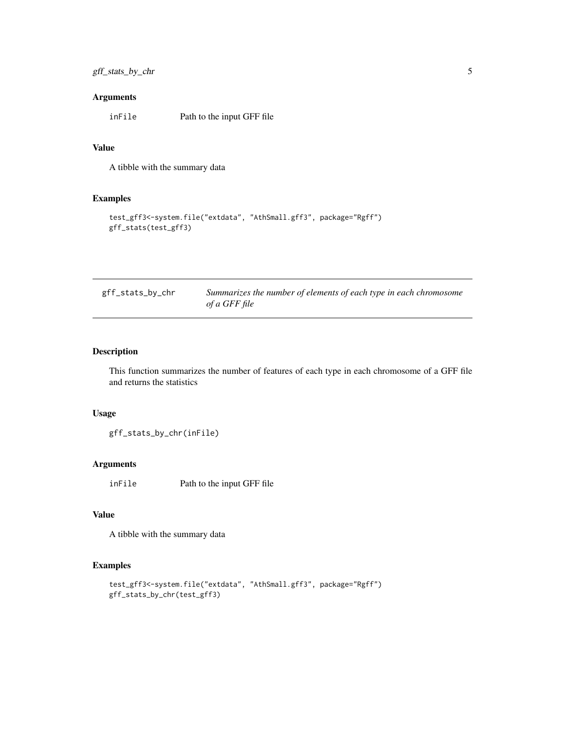#### <span id="page-4-0"></span>Arguments

inFile Path to the input GFF file

#### Value

A tibble with the summary data

#### Examples

```
test_gff3<-system.file("extdata", "AthSmall.gff3", package="Rgff")
gff_stats(test_gff3)
```

| gff_stats_by_chr | Summarizes the number of elements of each type in each chromosome |
|------------------|-------------------------------------------------------------------|
|                  | of a GFF file                                                     |

#### Description

This function summarizes the number of features of each type in each chromosome of a GFF file and returns the statistics

#### Usage

gff\_stats\_by\_chr(inFile)

#### Arguments

inFile Path to the input GFF file

#### Value

A tibble with the summary data

#### Examples

```
test_gff3<-system.file("extdata", "AthSmall.gff3", package="Rgff")
gff_stats_by_chr(test_gff3)
```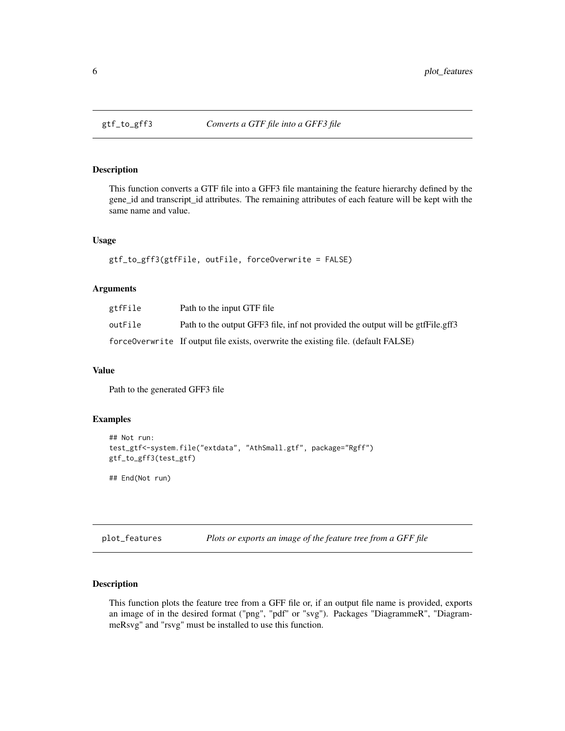<span id="page-5-0"></span>

#### Description

This function converts a GTF file into a GFF3 file mantaining the feature hierarchy defined by the gene\_id and transcript\_id attributes. The remaining attributes of each feature will be kept with the same name and value.

#### Usage

```
gtf_to_gff3(gtfFile, outFile, forceOverwrite = FALSE)
```
#### Arguments

| gtfFile | Path to the input GTF file                                                         |
|---------|------------------------------------------------------------------------------------|
| outFile | Path to the output GFF3 file, inf not provided the output will be gtfFile.gff3     |
|         | force0verwrite If output file exists, overwrite the existing file. (default FALSE) |

#### Value

Path to the generated GFF3 file

#### Examples

```
## Not run:
test_gtf<-system.file("extdata", "AthSmall.gtf", package="Rgff")
gtf_to_gff3(test_gtf)
```
## End(Not run)

plot\_features *Plots or exports an image of the feature tree from a GFF file*

#### Description

This function plots the feature tree from a GFF file or, if an output file name is provided, exports an image of in the desired format ("png", "pdf" or "svg"). Packages "DiagrammeR", "DiagrammeRsvg" and "rsvg" must be installed to use this function.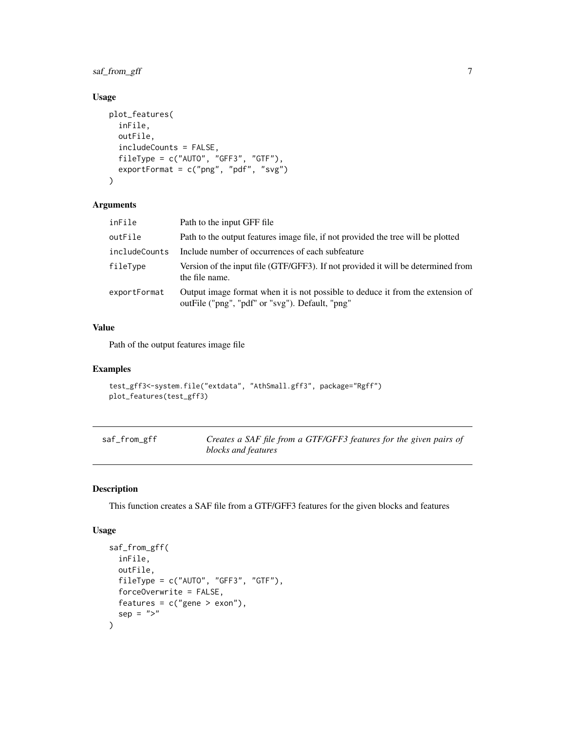#### <span id="page-6-0"></span>saf\_from\_gff 7

#### Usage

```
plot_features(
  inFile,
  outFile,
  includeCounts = FALSE,
 fileType = c("AUTO", "GFF3", "GTF"),
 exportFormat = c("png", "pdf", "svg")
)
```
#### Arguments

| inFile        | Path to the input GFF file                                                                                                        |
|---------------|-----------------------------------------------------------------------------------------------------------------------------------|
| outFile       | Path to the output features image file, if not provided the tree will be plotted                                                  |
| includeCounts | Include number of occurrences of each subfeature                                                                                  |
| fileType      | Version of the input file (GTF/GFF3). If not provided it will be determined from<br>the file name.                                |
| exportFormat  | Output image format when it is not possible to deduce it from the extension of<br>outFile ("png", "pdf" or "svg"). Default, "png" |

#### Value

Path of the output features image file

#### Examples

```
test_gff3<-system.file("extdata", "AthSmall.gff3", package="Rgff")
plot_features(test_gff3)
```

| saf_from_gff | Creates a SAF file from a GTF/GFF3 features for the given pairs of |
|--------------|--------------------------------------------------------------------|
|              | blocks and features                                                |

#### Description

This function creates a SAF file from a GTF/GFF3 features for the given blocks and features

#### Usage

```
saf_from_gff(
  inFile,
 outFile,
 fileType = c("AUTO", "GFF3", "GTF"),
 forceOverwrite = FALSE,
 features = c("gene > exon"),sep = ">}"\mathcal{E}
```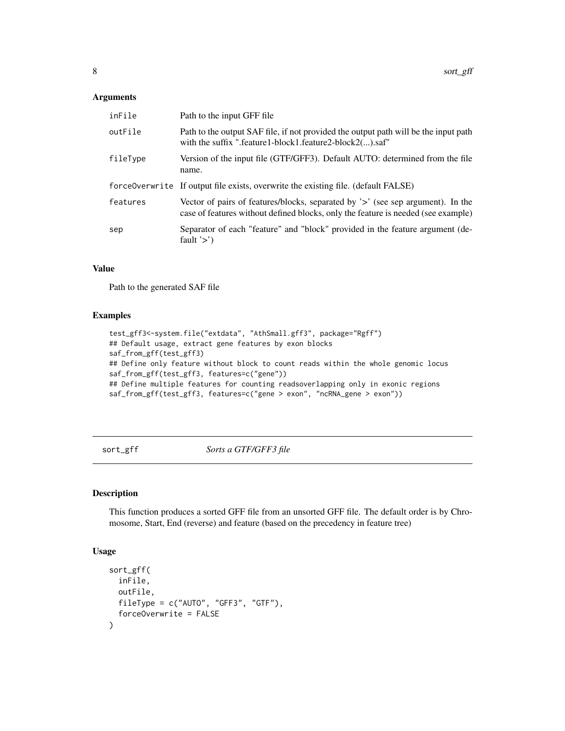#### <span id="page-7-0"></span>Arguments

| inFile   | Path to the input GFF file                                                                                                                                           |
|----------|----------------------------------------------------------------------------------------------------------------------------------------------------------------------|
| outFile  | Path to the output SAF file, if not provided the output path will be the input path<br>with the suffix ".feature1-block1.feature2-block2().saf"                      |
| fileType | Version of the input file (GTF/GFF3). Default AUTO: determined from the file<br>name.                                                                                |
|          | force0verwrite If output file exists, overwrite the existing file. (default FALSE)                                                                                   |
| features | Vector of pairs of features/blocks, separated by '>' (see sep argument). In the<br>case of features without defined blocks, only the feature is needed (see example) |
| sep      | Separator of each "feature" and "block" provided in the feature argument (de-<br>fault $\geq$ )                                                                      |

#### Value

Path to the generated SAF file

#### Examples

```
test_gff3<-system.file("extdata", "AthSmall.gff3", package="Rgff")
## Default usage, extract gene features by exon blocks
saf_from_gff(test_gff3)
## Define only feature without block to count reads within the whole genomic locus
saf_from_gff(test_gff3, features=c("gene"))
## Define multiple features for counting readsoverlapping only in exonic regions
saf_from_gff(test_gff3, features=c("gene > exon", "ncRNA_gene > exon"))
```
sort\_gff *Sorts a GTF/GFF3 file*

#### Description

This function produces a sorted GFF file from an unsorted GFF file. The default order is by Chromosome, Start, End (reverse) and feature (based on the precedency in feature tree)

#### Usage

```
sort_gff(
  inFile,
  outFile,
 fileType = c("AUTO", "GFF3", "GTF"),
  forceOverwrite = FALSE
\mathcal{E}
```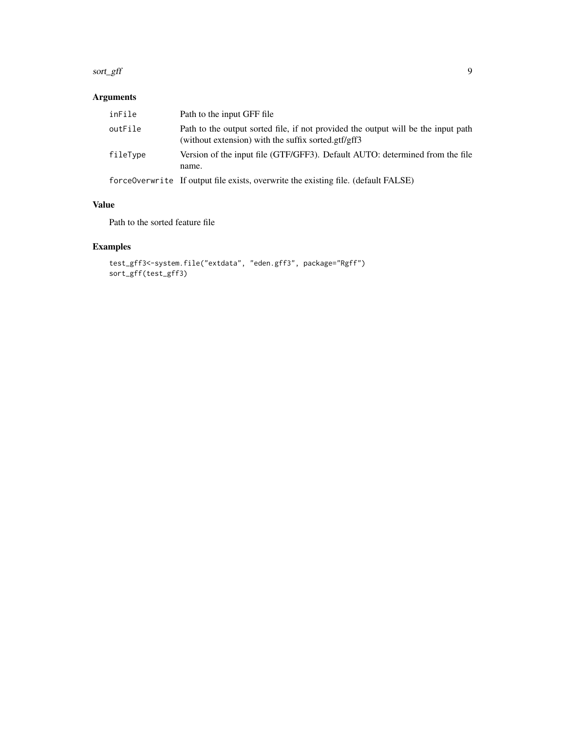#### sort\_gff 99

#### Arguments

| inFile   | Path to the input GFF file                                                                                                               |
|----------|------------------------------------------------------------------------------------------------------------------------------------------|
| outFile  | Path to the output sorted file, if not provided the output will be the input path<br>(without extension) with the suffix sorted.gtf/gff3 |
| fileType | Version of the input file (GTF/GFF3). Default AUTO: determined from the file<br>name.                                                    |
|          | $\mathcal{C}$ a is the $\mathcal{C}1$ is the $\mathcal{C}1$ is the $\mathcal{C}1$ is the $\mathcal{C}1$ is the $\mathcal{C}1$            |

forceOverwrite If output file exists, overwrite the existing file. (default FALSE)

#### Value

Path to the sorted feature file

#### Examples

```
test_gff3<-system.file("extdata", "eden.gff3", package="Rgff")
sort_gff(test_gff3)
```